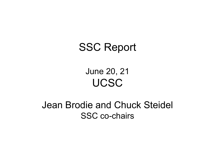## SSC Report

## June 20, 21 UCSC

### Jean Brodie and Chuck Steidel SSC co-chairs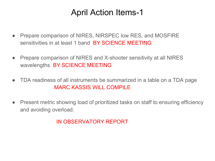#### April Action Items-1

- Prepare comparison of NIRES, NIRSPEC low RES, and MOSFIRE sensitivities in at least 1 band BY SCIENCE MEETING
- Prepare comparison of NIRES and X-shooter sensitivity at all NIRES wavelengths BY SCIENCE MEETING
- TDA readiness of all instruments be summarized in a table on a TDA page MARC KASSIS WILL COMPILE
- Present metric showing load of prioritized tasks on staff to ensuring efficiency and avoiding overload.

IN OBSERVATORY REPORT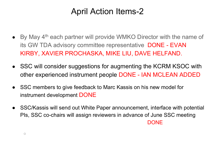#### April Action Items-2

- By May 4<sup>th</sup> each partner will provide WMKO Director with the name of its GW TDA advisory committee representative DONE - EVAN KIRBY, XAVIER PROCHASKA, MIKE LIU, DAVE HELFAND.
- SSC will consider suggestions for augmenting the KCRM KSOC with other experienced instrument people DONE - IAN MCLEAN ADDED
- SSC members to give feedback to Marc Kassis on his new model for instrument development DONE
- SSC/Kassis will send out White Paper announcement, interface with potential PIs, SSC co-chairs will assign reviewers in advance of June SSC meeting DONE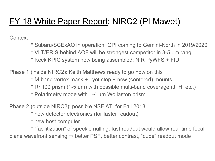#### FY 18 White Paper Report: NIRC2 (PI Mawet)

**Context** 

- \* Subaru/SCExAO in operation, GPI coming to Gemini-North in 2019/2020
- \* VLT/ERIS behind AOF will be strongest competitor in 3-5 um rang
- \* Keck KPIC system now being assembled: NIR PyWFS + FIU

Phase 1 (inside NIRC2): Keith Matthews ready to go now on this

- \* M-band vortex mask + Lyot stop + new (centered) mounts
- \* R~100 prism (1-5 um) with possible multi-band coverage (J+H, etc.)
- \* Polarimetry mode with 1-4 um Wollaston prism

Phase 2 (outside NIRC2): possible NSF ATI for Fall 2018

\* new detector electronics (for faster readout)

\* new host computer

\* "facilitization" of speckle nulling: fast readout would allow real-time focalplane wavefront sensing  $\Rightarrow$  better PSF, better contrast, "cube" readout mode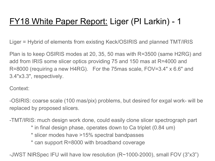#### FY18 White Paper Report: Liger (PI Larkin) - 1

Liger = Hybrid of elements from existing Keck/OSIRIS and planned TMT/IRIS

Plan is to keep OSIRIS modes at 20, 35, 50 mas with R=3500 (same H2RG) and add from IRIS some slicer optics providing 75 and 150 mas at R=4000 and R=8000 (requiring a new H4RG). For the 75mas scale, FOV=3.4" x 6.6" and 3.4"x3.3", respectively.

Context:

-OSIRIS: coarse scale (100 mas/pix) problems, but desired for exgal work- will be replaced by proposed slicers.

-TMT/IRIS: much design work done, could easily clone slicer spectrograph part

- \* in final design phase, operates down to Ca triplet (0.84 um)
- \* slicer modes have >15% spectral bandpasses
- \* can support R=8000 with broadband coverage

-JWST NIRSpec IFU will have low resolution (R~1000-2000), small FOV (3"x3")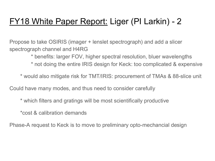#### FY18 White Paper Report: Liger (PI Larkin) - 2

Propose to take OSIRIS (imager + lenslet spectrograph) and add a slicer spectrograph channel and H4RG

\* benefits: larger FOV, higher spectral resolution, bluer wavelengths

\* not doing the entire IRIS design for Keck: too complicated & expensive

\* would also mitigate risk for TMT/IRIS: procurement of TMAs & 88-slice unit

Could have many modes, and thus need to consider carefully

\* which filters and gratings will be most scientifically productive

\*cost & calibration demands

Phase-A request to Keck is to move to preliminary opto-mechancial design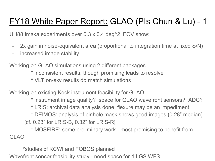### FY18 White Paper Report: GLAO (PIs Chun & Lu) - 1

UH88 Imaka experiments over 0.3 x 0.4 deg^2 FOV show:

- 2x gain in noise-equivalent area (proportional to integration time at fixed S/N)
- increased image stability

Working on GLAO simulations using 2 different packages

\* inconsistent results, though promising leads to resolve

\* VLT on-sky results do match simulations

Working on existing Keck instrument feasibility for GLAO

\* instrument image quality? space for GLAO wavefront sensors? ADC?

\* LRIS: archival data analysis done, flexure may be an impediment

\* DEIMOS: analysis of pinhole mask shows good images (0.28" median)

[cf. 0.23" for LRIS-B, 0.32" for LRIS-R]

\* MOSFIRE: some preliminary work - most promising to benefit from GLAO

\*studies of KCWI and FOBOS planned

Wavefront sensor feasibility study - need space for 4 LGS WFS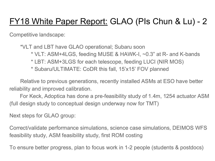### FY18 White Paper Report: GLAO (PIs Chun & Lu) - 2

Competitive landscape:

\*VLT and LBT have GLAO operational; Subaru soon

- \* VLT: ASM+4LGS, feeding MUSE & HAWK-I, ~0.3" at R- and K-bands
- \* LBT: ASM+3LGS for each telescope, feeding LUCI (NIR MOS)
- \* Subaru/ULTIMATE: CoDR this fall, 15'x15' FOV planned

Relative to previous generations, recently installed ASMs at ESO have better reliability and improved calibration.

For Keck, Adoptica has done a pre-feasibility study of 1.4m, 1254 actuator ASM (full design study to conceptual design underway now for TMT)

Next steps for GLAO group:

Correct/validate performance simulations, science case simulations, DEIMOS WFS feasibility study, ASM feasibility study, first ROM costing

To ensure better progress, plan to focus work in 1-2 people (students & postdocs)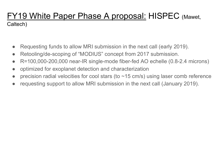#### FY19 White Paper Phase A proposal: HISPEC (Mawet, Caltech)

- Requesting funds to allow MRI submission in the next call (early 2019).
- Retooling/de-scoping of "MODIUS" concept from 2017 submission.
- R=100,000-200,000 near-IR single-mode fiber-fed AO echelle (0.8-2.4 microns)
- optimized for exoplanet detection and characterization
- precision radial velocities for cool stars (to  $\sim$  15 cm/s) using laser comb reference
- requesting support to allow MRI submission in the next call (January 2019).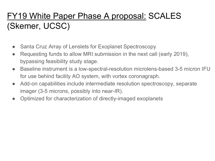## FY19 White Paper Phase A proposal: SCALES (Skemer, UCSC)

- Santa Cruz Array of Lenslets for Exoplanet Spectroscopy
- Requesting funds to allow MRI submission in the next call (early 2019), bypassing feasibility study stage.
- Baseline instrument is a low-spectral-resolution microlens-based 3-5 micron IFU for use behind facility AO system, with vortex coronagraph.
- Add-on capabilities include intermediate resolution spectroscopy, separate imager (3-5 microns, possibly into near-IR).
- Optimized for characterization of directly-imaged exoplanets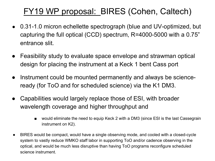### FY19 WP proposal: BIRES (Cohen, Caltech)

- 0.31-1.0 micron echellette spectrograph (blue and UV-optimized, but capturing the full optical (CCD) spectrum, R=4000-5000 with a 0.75" entrance slit.
- Feasibility study to evaluate space envelope and strawman optical design for placing the instrument at a Keck 1 bent Cass port
- Instrument could be mounted permanently and always be scienceready (for ToO and for scheduled science) via the K1 DM3.
- Capabilities would largely replace those of ESI, with broader wavelength coverage and higher throughput and
	- would eliminate the need to equip Keck 2 with a DM3 (since ESI is the last Cassegrain instrument on K2).
- BIRES would be compact, would have a single observing mode, and cooled with a closed-cycle system to vastly reduce WMKO staff labor in supporting ToO and/or cadence observing in the optical, and would be much less disruptive than having ToO programs reconfigure scheduled science instrument.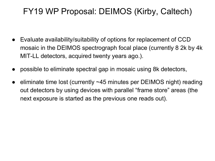#### FY19 WP Proposal: DEIMOS (Kirby, Caltech)

- Evaluate availability/suitability of options for replacement of CCD mosaic in the DEIMOS spectrograph focal place (currently 8 2k by 4k MIT-LL detectors, acquired twenty years ago.).
- possible to eliminate spectral gap in mosaic using 8k detectors,
- eliminate time lost (currently  $~45$  minutes per DEIMOS night) reading out detectors by using devices with parallel "frame store" areas (the next exposure is started as the previous one reads out).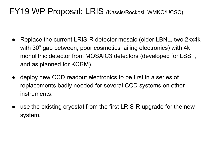#### FY19 WP Proposal: LRIS (Kassis/Rockosi, WMKO/UCSC)

- Replace the current LRIS-R detector mosaic (older LBNL, two 2kx4k with 30" gap between, poor cosmetics, ailing electronics) with 4k monolithic detector from MOSAIC3 detectors (developed for LSST, and as planned for KCRM).
- deploy new CCD readout electronics to be first in a series of replacements badly needed for several CCD systems on other instruments.
- use the existing cryostat from the first LRIS-R upgrade for the new system.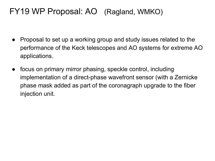#### FY19 WP Proposal: AO (Ragland, WMKO)

- Proposal to set up a working group and study issues related to the performance of the Keck telescopes and AO systems for extreme AO applications.
- focus on primary mirror phasing, speckle control, including implementation of a direct-phase wavefront sensor (with a Zernicke phase mask added as part of the coronagraph upgrade to the fiber injection unit.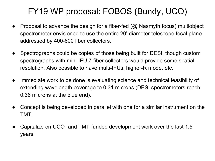## FY19 WP proposal: FOBOS (Bundy, UCO)

- Proposal to advance the design for a fiber-fed  $(Q)$  Nasmyth focus) multiobject spectrometer envisioned to use the entire 20' diameter telescope focal plane addressed by 400-600 fiber collectors.
- Spectrographs could be copies of those being built for DESI, though custom spectrographs with mini-IFU 7-fiber collectors would provide some spatial resolution. Also possible to have multi-IFUs, higher-R mode, etc.
- Immediate work to be done is evaluating science and technical feasibility of extending wavelength coverage to 0.31 microns (DESI spectrometers reach 0.36 microns at the blue end).
- Concept is being developed in parallel with one for a similar instrument on the TMT.
- Capitalize on UCO- and TMT-funded development work over the last 1.5 years.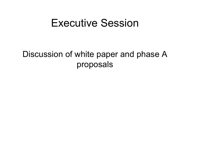## Executive Session

#### Discussion of white paper and phase A proposals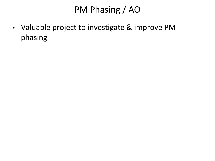# PM Phasing / AO

• Valuable project to investigate & improve PM phasing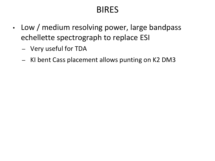### BIRES

- Low / medium resolving power, large bandpass echellette spectrograph to replace ESI
	- Very useful for TDA
	- KI bent Cass placement allows punting on K2 DM3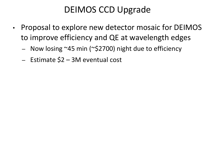## DEIMOS CCD Upgrade

- Proposal to explore new detector mosaic for DEIMOS to improve efficiency and QE at wavelength edges
	- Now losing ~45 min (~\$2700) night due to efficiency
	- Estimate \$2 3M eventual cost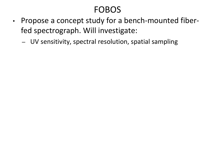## FOBOS

- Propose a concept study for a bench-mounted fiberfed spectrograph. Will investigate:
	- UV sensitivity, spectral resolution, spatial sampling